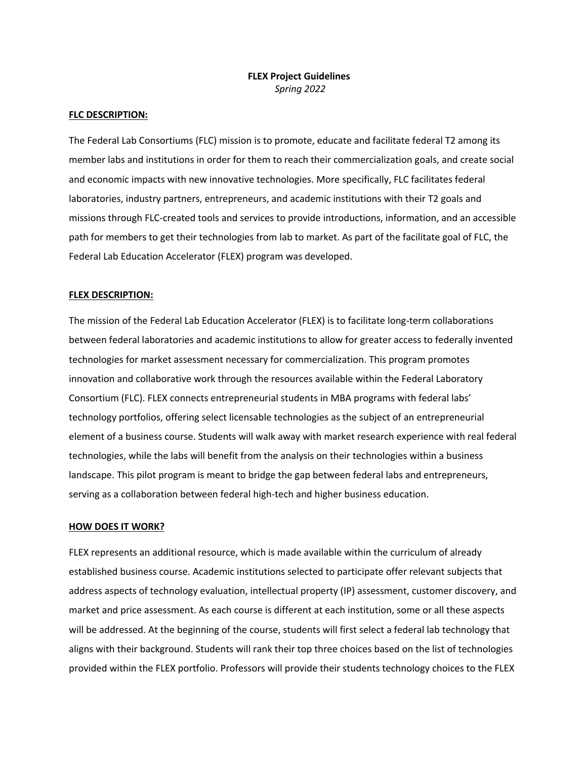# **FLEX Project Guidelines** *Spring 2022*

### **FLC DESCRIPTION:**

The Federal Lab Consortiums (FLC) mission is to promote, educate and facilitate federal T2 among its member labs and institutions in order for them to reach their commercialization goals, and create social and economic impacts with new innovative technologies. More specifically, FLC facilitates federal laboratories, industry partners, entrepreneurs, and academic institutions with their T2 goals and missions through FLC-created tools and services to provide introductions, information, and an accessible path for members to get their technologies from lab to market. As part of the facilitate goal of FLC, the Federal Lab Education Accelerator (FLEX) program was developed.

# **FLEX DESCRIPTION:**

The mission of the Federal Lab Education Accelerator (FLEX) is to facilitate long-term collaborations between federal laboratories and academic institutions to allow for greater access to federally invented technologies for market assessment necessary for commercialization. This program promotes innovation and collaborative work through the resources available within the Federal Laboratory Consortium (FLC). FLEX connects entrepreneurial students in MBA programs with federal labs' technology portfolios, offering select licensable technologies as the subject of an entrepreneurial element of a business course. Students will walk away with market research experience with real federal technologies, while the labs will benefit from the analysis on their technologies within a business landscape. This pilot program is meant to bridge the gap between federal labs and entrepreneurs, serving as a collaboration between federal high-tech and higher business education.

### **HOW DOES IT WORK?**

FLEX represents an additional resource, which is made available within the curriculum of already established business course. Academic institutions selected to participate offer relevant subjects that address aspects of technology evaluation, intellectual property (IP) assessment, customer discovery, and market and price assessment. As each course is different at each institution, some or all these aspects will be addressed. At the beginning of the course, students will first select a federal lab technology that aligns with their background. Students will rank their top three choices based on the list of technologies provided within the FLEX portfolio. Professors will provide their students technology choices to the FLEX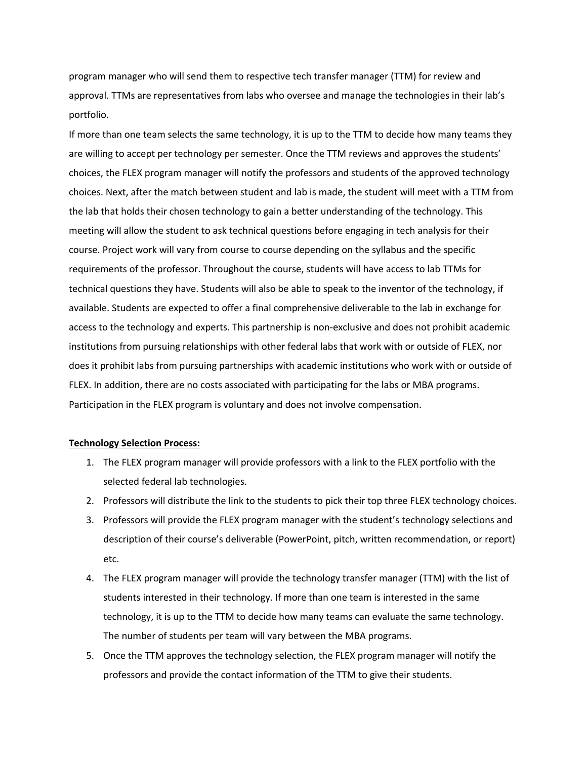program manager who will send them to respective tech transfer manager (TTM) for review and approval. TTMs are representatives from labs who oversee and manage the technologies in their lab's portfolio.

If more than one team selects the same technology, it is up to the TTM to decide how many teams they are willing to accept per technology per semester. Once the TTM reviews and approves the students' choices, the FLEX program manager will notify the professors and students of the approved technology choices. Next, after the match between student and lab is made, the student will meet with a TTM from the lab that holds their chosen technology to gain a better understanding of the technology. This meeting will allow the student to ask technical questions before engaging in tech analysis for their course. Project work will vary from course to course depending on the syllabus and the specific requirements of the professor. Throughout the course, students will have access to lab TTMs for technical questions they have. Students will also be able to speak to the inventor of the technology, if available. Students are expected to offer a final comprehensive deliverable to the lab in exchange for access to the technology and experts. This partnership is non-exclusive and does not prohibit academic institutions from pursuing relationships with other federal labs that work with or outside of FLEX, nor does it prohibit labs from pursuing partnerships with academic institutions who work with or outside of FLEX. In addition, there are no costs associated with participating for the labs or MBA programs. Participation in the FLEX program is voluntary and does not involve compensation.

#### **Technology Selection Process:**

- 1. The FLEX program manager will provide professors with a link to the FLEX portfolio with the selected federal lab technologies.
- 2. Professors will distribute the link to the students to pick their top three FLEX technology choices.
- 3. Professors will provide the FLEX program manager with the student's technology selections and description of their course's deliverable (PowerPoint, pitch, written recommendation, or report) etc.
- 4. The FLEX program manager will provide the technology transfer manager (TTM) with the list of students interested in their technology. If more than one team is interested in the same technology, it is up to the TTM to decide how many teams can evaluate the same technology. The number of students per team will vary between the MBA programs.
- 5. Once the TTM approves the technology selection, the FLEX program manager will notify the professors and provide the contact information of the TTM to give their students.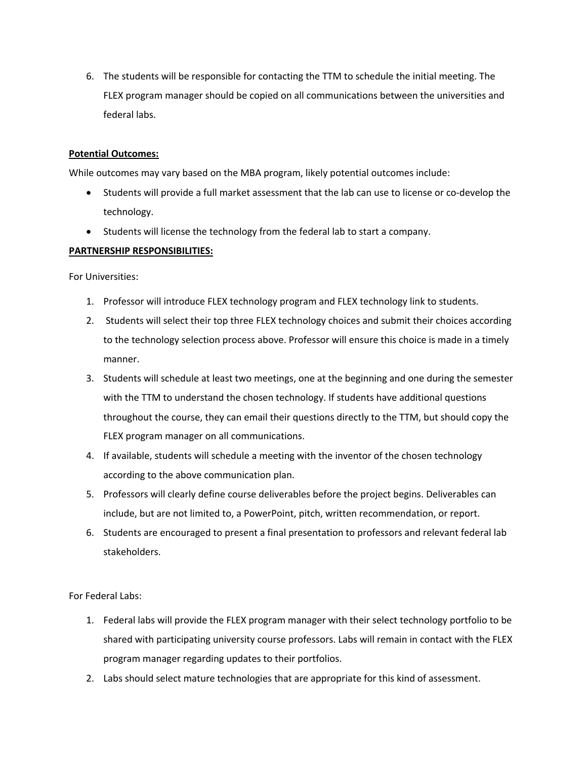6. The students will be responsible for contacting the TTM to schedule the initial meeting. The FLEX program manager should be copied on all communications between the universities and federal labs.

# **Potential Outcomes:**

While outcomes may vary based on the MBA program, likely potential outcomes include:

- Students will provide a full market assessment that the lab can use to license or co-develop the technology.
- Students will license the technology from the federal lab to start a company.

### **PARTNERSHIP RESPONSIBILITIES:**

For Universities:

- 1. Professor will introduce FLEX technology program and FLEX technology link to students.
- 2. Students will select their top three FLEX technology choices and submit their choices according to the technology selection process above. Professor will ensure this choice is made in a timely manner.
- 3. Students will schedule at least two meetings, one at the beginning and one during the semester with the TTM to understand the chosen technology. If students have additional questions throughout the course, they can email their questions directly to the TTM, but should copy the FLEX program manager on all communications.
- 4. If available, students will schedule a meeting with the inventor of the chosen technology according to the above communication plan.
- 5. Professors will clearly define course deliverables before the project begins. Deliverables can include, but are not limited to, a PowerPoint, pitch, written recommendation, or report.
- 6. Students are encouraged to present a final presentation to professors and relevant federal lab stakeholders.

For Federal Labs:

- 1. Federal labs will provide the FLEX program manager with their select technology portfolio to be shared with participating university course professors. Labs will remain in contact with the FLEX program manager regarding updates to their portfolios.
- 2. Labs should select mature technologies that are appropriate for this kind of assessment.